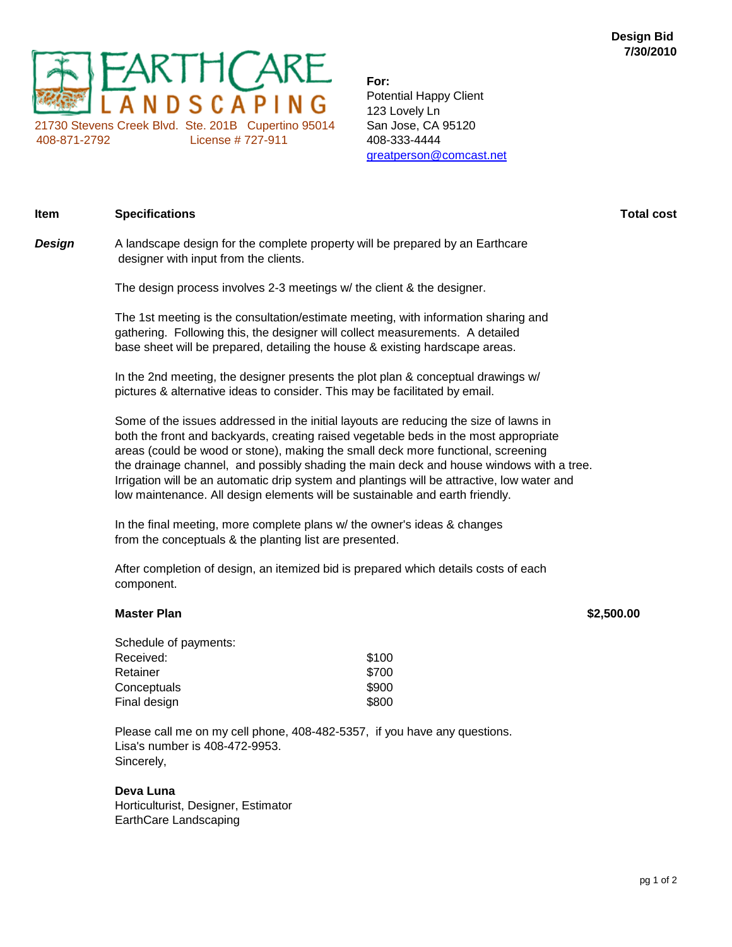

**For:** Potential Happy Client 123 Lovely Ln greatperson@comcast.net

| Design | A landscape design for the complete property will be prepared by an Earthcare<br>designer with input from the clients.                                                                                                                              |
|--------|-----------------------------------------------------------------------------------------------------------------------------------------------------------------------------------------------------------------------------------------------------|
|        | The design process involves 2-3 meetings w/ the client & the designer.                                                                                                                                                                              |
|        | The 1st meeting is the consultation/estimate meeting, with information sharing and<br>gathering. Following this, the designer will collect measurements. A detailed<br>base sheet will be prepared, detailing the house & existing hardscape areas. |

**Item Specifications Total cost**

In the 2nd meeting, the designer presents the plot plan & conceptual drawings w/ pictures & alternative ideas to consider. This may be facilitated by email.

Some of the issues addressed in the initial layouts are reducing the size of lawns in both the front and backyards, creating raised vegetable beds in the most appropriate areas (could be wood or stone), making the small deck more functional, screening the drainage channel, and possibly shading the main deck and house windows with a tree. Irrigation will be an automatic drip system and plantings will be attractive, low water and low maintenance. All design elements will be sustainable and earth friendly.

In the final meeting, more complete plans w/ the owner's ideas & changes from the conceptuals & the planting list are presented.

After completion of design, an itemized bid is prepared which details costs of each component.

## **Master Plan \$2,500.00**

| Schedule of payments: |       |
|-----------------------|-------|
| Received:             | \$100 |
| Retainer              | \$700 |
| Conceptuals           | \$900 |
| Final design          | \$800 |

Please call me on my cell phone, 408-482-5357, if you have any questions. Lisa's number is 408-472-9953. Sincerely,

## **Deva Luna**

Horticulturist, Designer, Estimator EarthCare Landscaping

pg 1 of 2